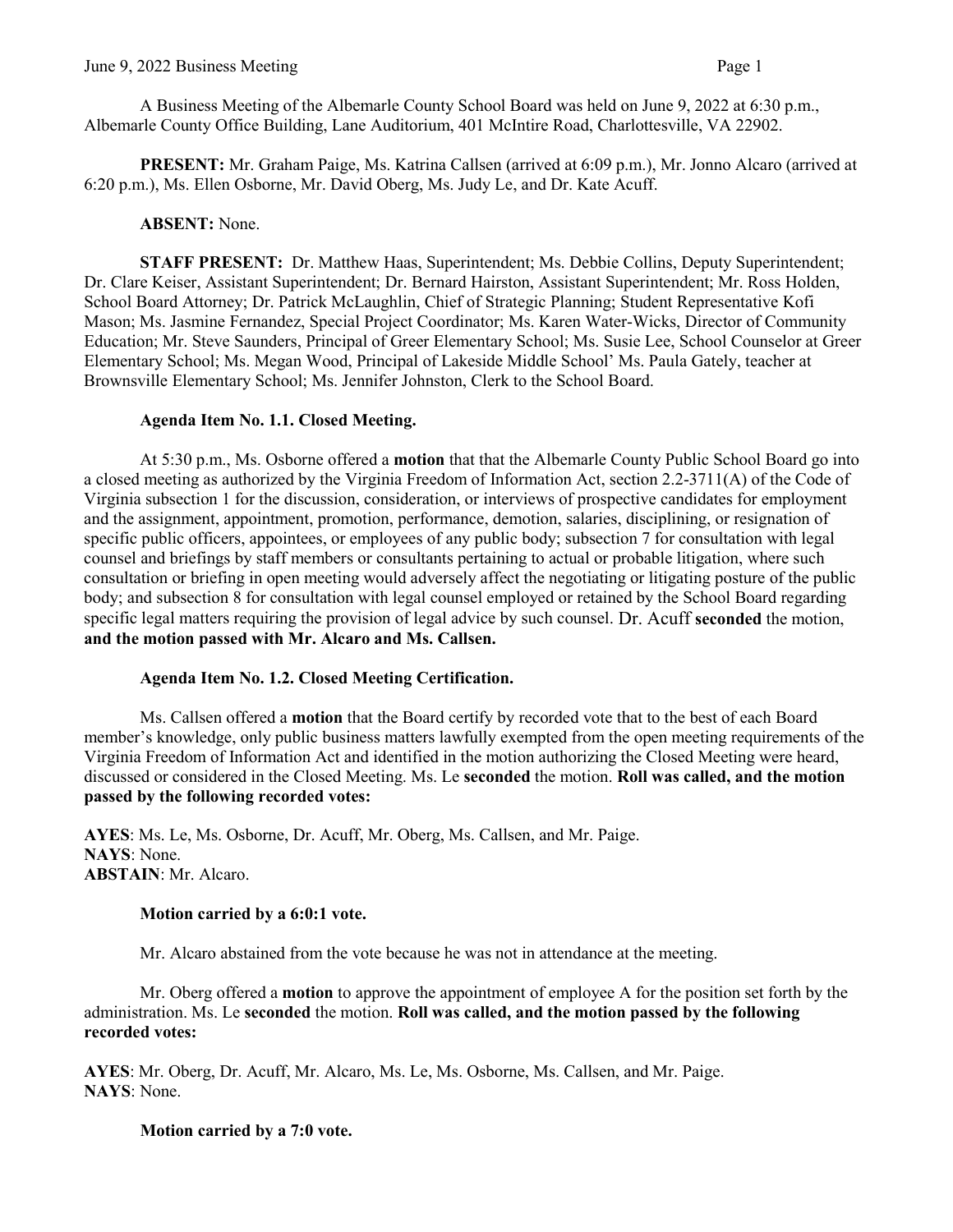A Business Meeting of the Albemarle County School Board was held on June 9, 2022 at 6:30 p.m., Albemarle County Office Building, Lane Auditorium, 401 McIntire Road, Charlottesville, VA 22902.

**PRESENT:** Mr. Graham Paige, Ms. Katrina Callsen (arrived at 6:09 p.m.), Mr. Jonno Alcaro (arrived at 6:20 p.m.), Ms. Ellen Osborne, Mr. David Oberg, Ms. Judy Le, and Dr. Kate Acuff.

# **ABSENT:** None.

**STAFF PRESENT:** Dr. Matthew Haas, Superintendent; Ms. Debbie Collins, Deputy Superintendent; Dr. Clare Keiser, Assistant Superintendent; Dr. Bernard Hairston, Assistant Superintendent; Mr. Ross Holden, School Board Attorney; Dr. Patrick McLaughlin, Chief of Strategic Planning; Student Representative Kofi Mason; Ms. Jasmine Fernandez, Special Project Coordinator; Ms. Karen Water-Wicks, Director of Community Education; Mr. Steve Saunders, Principal of Greer Elementary School; Ms. Susie Lee, School Counselor at Greer Elementary School; Ms. Megan Wood, Principal of Lakeside Middle School' Ms. Paula Gately, teacher at Brownsville Elementary School; Ms. Jennifer Johnston, Clerk to the School Board.

## **Agenda Item No. 1.1. Closed Meeting.**

At 5:30 p.m., Ms. Osborne offered a **motion** that that the Albemarle County Public School Board go into a closed meeting as authorized by the Virginia Freedom of Information Act, section 2.2-3711(A) of the Code of Virginia subsection 1 for the discussion, consideration, or interviews of prospective candidates for employment and the assignment, appointment, promotion, performance, demotion, salaries, disciplining, or resignation of specific public officers, appointees, or employees of any public body; subsection 7 for consultation with legal counsel and briefings by staff members or consultants pertaining to actual or probable litigation, where such consultation or briefing in open meeting would adversely affect the negotiating or litigating posture of the public body; and subsection 8 for consultation with legal counsel employed or retained by the School Board regarding specific legal matters requiring the provision of legal advice by such counsel. Dr. Acuff **seconded** the motion, **and the motion passed with Mr. Alcaro and Ms. Callsen.**

## **Agenda Item No. 1.2. Closed Meeting Certification.**

Ms. Callsen offered a **motion** that the Board certify by recorded vote that to the best of each Board member's knowledge, only public business matters lawfully exempted from the open meeting requirements of the Virginia Freedom of Information Act and identified in the motion authorizing the Closed Meeting were heard, discussed or considered in the Closed Meeting. Ms. Le **seconded** the motion. **Roll was called, and the motion passed by the following recorded votes:**

**AYES**: Ms. Le, Ms. Osborne, Dr. Acuff, Mr. Oberg, Ms. Callsen, and Mr. Paige. **NAYS**: None. **ABSTAIN**: Mr. Alcaro.

## **Motion carried by a 6:0:1 vote.**

Mr. Alcaro abstained from the vote because he was not in attendance at the meeting.

Mr. Oberg offered a **motion** to approve the appointment of employee A for the position set forth by the administration. Ms. Le **seconded** the motion. **Roll was called, and the motion passed by the following recorded votes:**

**AYES**: Mr. Oberg, Dr. Acuff, Mr. Alcaro, Ms. Le, Ms. Osborne, Ms. Callsen, and Mr. Paige. **NAYS**: None.

# **Motion carried by a 7:0 vote.**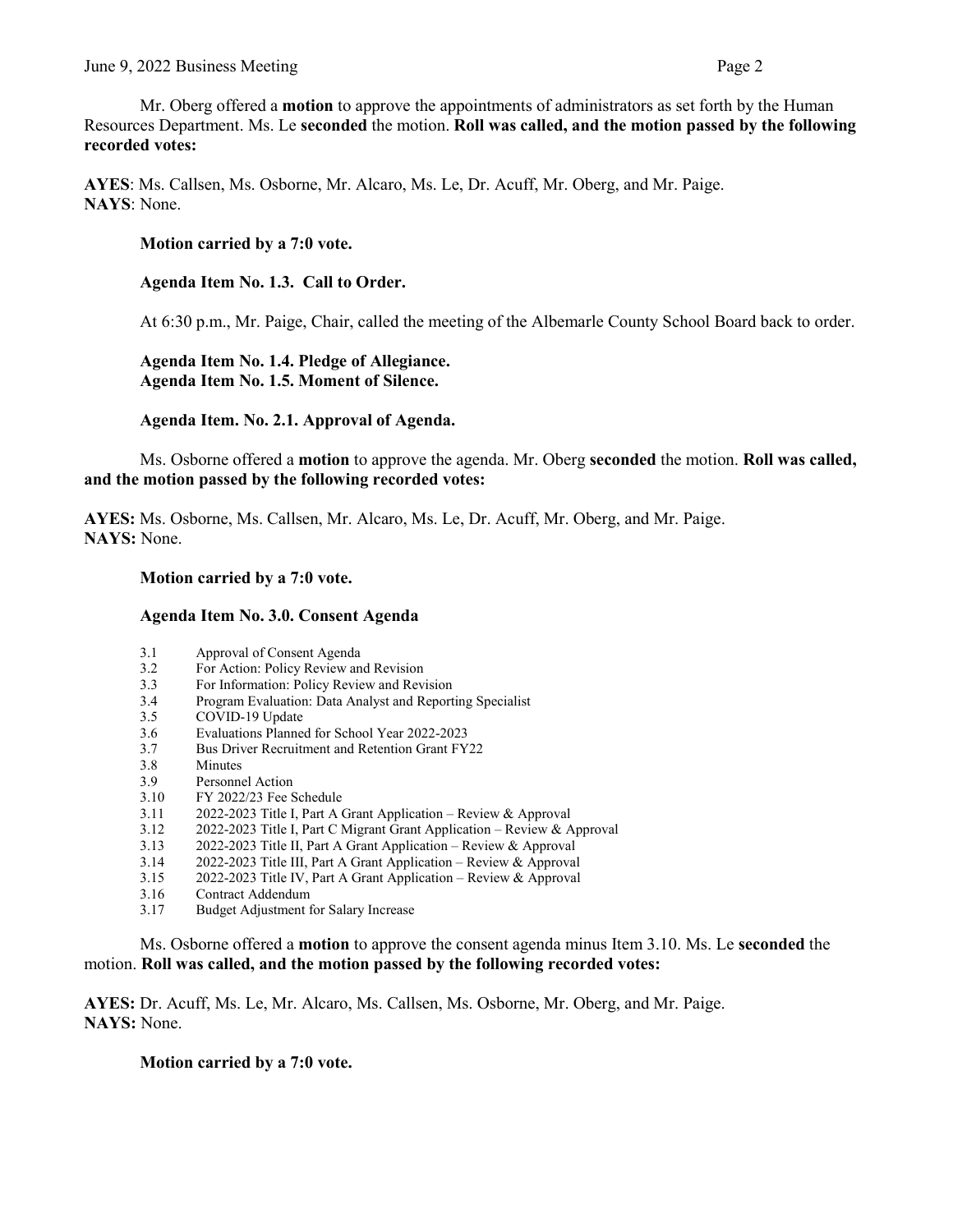Mr. Oberg offered a **motion** to approve the appointments of administrators as set forth by the Human Resources Department. Ms. Le **seconded** the motion. **Roll was called, and the motion passed by the following recorded votes:**

**AYES**: Ms. Callsen, Ms. Osborne, Mr. Alcaro, Ms. Le, Dr. Acuff, Mr. Oberg, and Mr. Paige. **NAYS**: None.

## **Motion carried by a 7:0 vote.**

**Agenda Item No. 1.3. Call to Order.**

At 6:30 p.m., Mr. Paige, Chair, called the meeting of the Albemarle County School Board back to order.

**Agenda Item No. 1.4. Pledge of Allegiance. Agenda Item No. 1.5. Moment of Silence.** 

**Agenda Item. No. 2.1. Approval of Agenda.**

Ms. Osborne offered a **motion** to approve the agenda. Mr. Oberg **seconded** the motion. **Roll was called, and the motion passed by the following recorded votes:** 

**AYES:** Ms. Osborne, Ms. Callsen, Mr. Alcaro, Ms. Le, Dr. Acuff, Mr. Oberg, and Mr. Paige. **NAYS:** None.

#### **Motion carried by a 7:0 vote.**

#### **Agenda Item No. 3.0. Consent Agenda**

- 3.1 Approval of Consent Agenda<br>3.2 For Action: Policy Review and
- For Action: Policy Review and Revision
- 3.3 For Information: Policy Review and Revision
- 3.4 Program Evaluation: Data Analyst and Reporting Specialist
- 3.5 COVID-19 Update
- 3.6 Evaluations Planned for School Year 2022-2023<br>3.7 Bus Driver Recruitment and Retention Grant FY
- Bus Driver Recruitment and Retention Grant FY22
- 3.8 Minutes
- 3.9 Personnel Action
- 3.10 FY 2022/23 Fee Schedule
- 3.11 2022-2023 Title I, Part A Grant Application Review & Approval<br>3.12 2022-2023 Title I, Part C Migrant Grant Application Review & A
- 3.12 2022-2023 Title I, Part C Migrant Grant Application Review & Approval
- 3.13 2022-2023 Title II, Part A Grant Application Review & Approval
- 3.14 2022-2023 Title III, Part A Grant Application Review & Approval
- 3.15 2022-2023 Title IV, Part A Grant Application Review & Approval
- 3.16 Contract Addendum
- 3.17 Budget Adjustment for Salary Increase

Ms. Osborne offered a **motion** to approve the consent agenda minus Item 3.10. Ms. Le **seconded** the motion. **Roll was called, and the motion passed by the following recorded votes:**

**AYES:** Dr. Acuff, Ms. Le, Mr. Alcaro, Ms. Callsen, Ms. Osborne, Mr. Oberg, and Mr. Paige. **NAYS:** None.

## **Motion carried by a 7:0 vote.**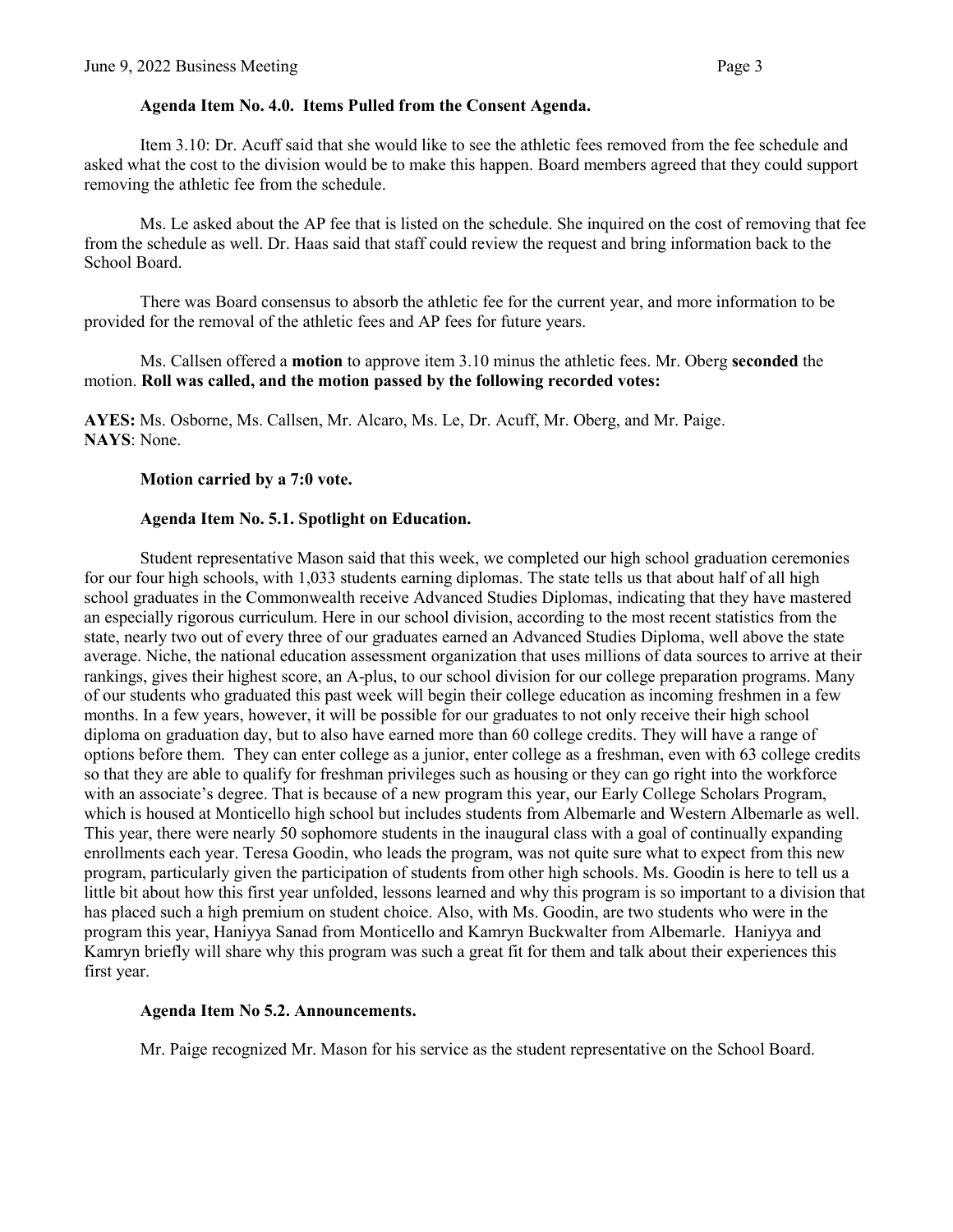#### **Agenda Item No. 4.0. Items Pulled from the Consent Agenda.**

Item 3.10: Dr. Acuff said that she would like to see the athletic fees removed from the fee schedule and asked what the cost to the division would be to make this happen. Board members agreed that they could support removing the athletic fee from the schedule.

Ms. Le asked about the AP fee that is listed on the schedule. She inquired on the cost of removing that fee from the schedule as well. Dr. Haas said that staff could review the request and bring information back to the School Board.

There was Board consensus to absorb the athletic fee for the current year, and more information to be provided for the removal of the athletic fees and AP fees for future years.

Ms. Callsen offered a **motion** to approve item 3.10 minus the athletic fees. Mr. Oberg **seconded** the motion. **Roll was called, and the motion passed by the following recorded votes:**

**AYES:** Ms. Osborne, Ms. Callsen, Mr. Alcaro, Ms. Le, Dr. Acuff, Mr. Oberg, and Mr. Paige. **NAYS**: None.

**Motion carried by a 7:0 vote.** 

## **Agenda Item No. 5.1. Spotlight on Education.**

Student representative Mason said that this week, we completed our high school graduation ceremonies for our four high schools, with 1,033 students earning diplomas. The state tells us that about half of all high school graduates in the Commonwealth receive Advanced Studies Diplomas, indicating that they have mastered an especially rigorous curriculum. Here in our school division, according to the most recent statistics from the state, nearly two out of every three of our graduates earned an Advanced Studies Diploma, well above the state average. Niche, the national education assessment organization that uses millions of data sources to arrive at their rankings, gives their highest score, an A-plus, to our school division for our college preparation programs. Many of our students who graduated this past week will begin their college education as incoming freshmen in a few months. In a few years, however, it will be possible for our graduates to not only receive their high school diploma on graduation day, but to also have earned more than 60 college credits. They will have a range of options before them. They can enter college as a junior, enter college as a freshman, even with 63 college credits so that they are able to qualify for freshman privileges such as housing or they can go right into the workforce with an associate's degree. That is because of a new program this year, our Early College Scholars Program, which is housed at Monticello high school but includes students from Albemarle and Western Albemarle as well. This year, there were nearly 50 sophomore students in the inaugural class with a goal of continually expanding enrollments each year. Teresa Goodin, who leads the program, was not quite sure what to expect from this new program, particularly given the participation of students from other high schools. Ms. Goodin is here to tell us a little bit about how this first year unfolded, lessons learned and why this program is so important to a division that has placed such a high premium on student choice. Also, with Ms. Goodin, are two students who were in the program this year, Haniyya Sanad from Monticello and Kamryn Buckwalter from Albemarle. Haniyya and Kamryn briefly will share why this program was such a great fit for them and talk about their experiences this first year.

#### **Agenda Item No 5.2. Announcements.**

Mr. Paige recognized Mr. Mason for his service as the student representative on the School Board.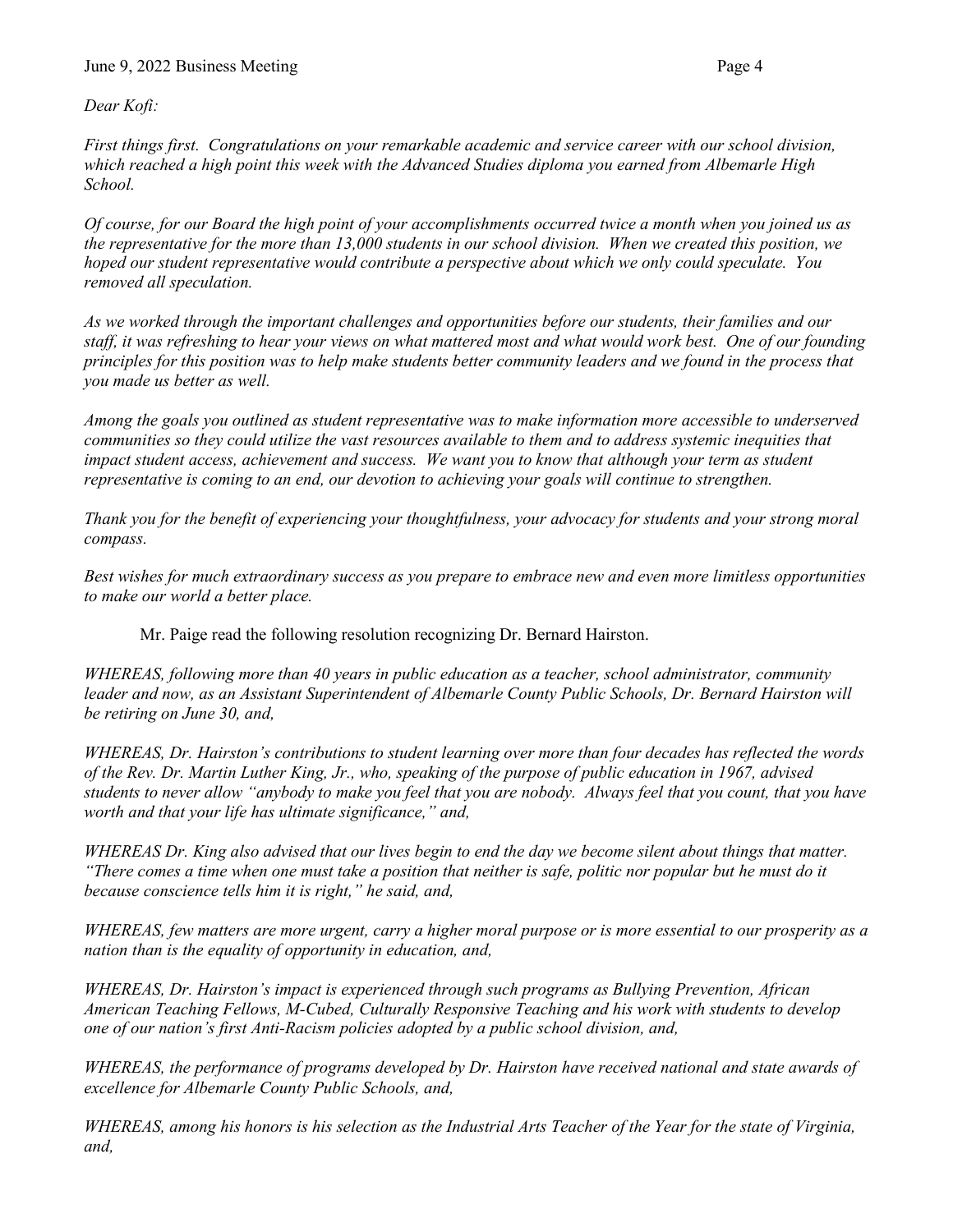*Dear Kofi:*

*First things first. Congratulations on your remarkable academic and service career with our school division, which reached a high point this week with the Advanced Studies diploma you earned from Albemarle High School.* 

*Of course, for our Board the high point of your accomplishments occurred twice a month when you joined us as the representative for the more than 13,000 students in our school division. When we created this position, we hoped our student representative would contribute a perspective about which we only could speculate. You removed all speculation.* 

*As we worked through the important challenges and opportunities before our students, their families and our staff, it was refreshing to hear your views on what mattered most and what would work best. One of our founding principles for this position was to help make students better community leaders and we found in the process that you made us better as well.* 

*Among the goals you outlined as student representative was to make information more accessible to underserved communities so they could utilize the vast resources available to them and to address systemic inequities that impact student access, achievement and success. We want you to know that although your term as student representative is coming to an end, our devotion to achieving your goals will continue to strengthen.*

*Thank you for the benefit of experiencing your thoughtfulness, your advocacy for students and your strong moral compass.*

*Best wishes for much extraordinary success as you prepare to embrace new and even more limitless opportunities to make our world a better place.*

Mr. Paige read the following resolution recognizing Dr. Bernard Hairston.

*WHEREAS, following more than 40 years in public education as a teacher, school administrator, community leader and now, as an Assistant Superintendent of Albemarle County Public Schools, Dr. Bernard Hairston will be retiring on June 30, and,* 

*WHEREAS, Dr. Hairston's contributions to student learning over more than four decades has reflected the words of the Rev. Dr. Martin Luther King, Jr., who, speaking of the purpose of public education in 1967, advised students to never allow "anybody to make you feel that you are nobody. Always feel that you count, that you have worth and that your life has ultimate significance," and,* 

*WHEREAS Dr. King also advised that our lives begin to end the day we become silent about things that matter. "There comes a time when one must take a position that neither is safe, politic nor popular but he must do it because conscience tells him it is right," he said, and,* 

*WHEREAS, few matters are more urgent, carry a higher moral purpose or is more essential to our prosperity as a nation than is the equality of opportunity in education, and,*

*WHEREAS, Dr. Hairston's impact is experienced through such programs as Bullying Prevention, African American Teaching Fellows, M-Cubed, Culturally Responsive Teaching and his work with students to develop one of our nation's first Anti-Racism policies adopted by a public school division, and,*

*WHEREAS, the performance of programs developed by Dr. Hairston have received national and state awards of excellence for Albemarle County Public Schools, and,* 

*WHEREAS, among his honors is his selection as the Industrial Arts Teacher of the Year for the state of Virginia, and,*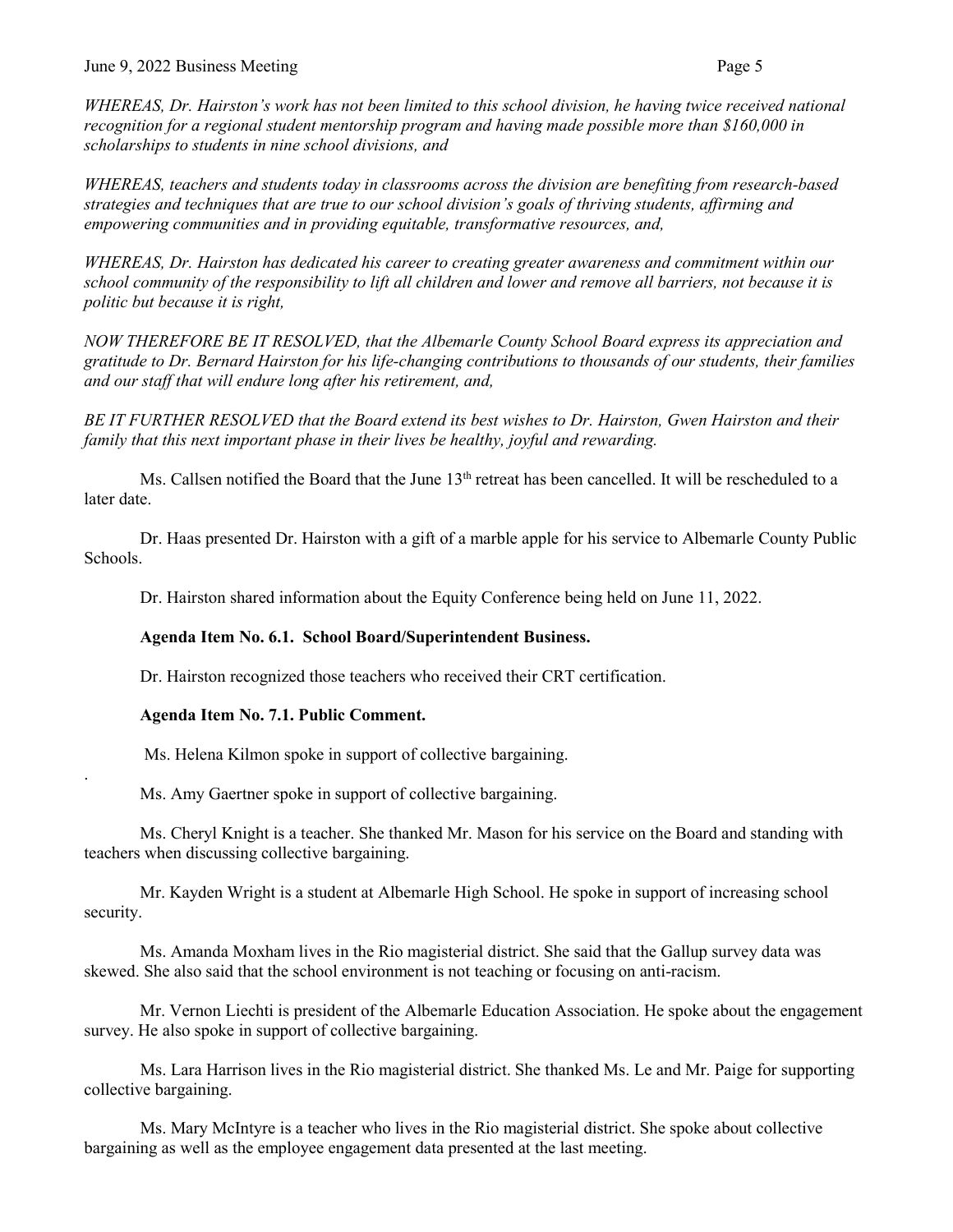*WHEREAS, Dr. Hairston's work has not been limited to this school division, he having twice received national recognition for a regional student mentorship program and having made possible more than \$160,000 in scholarships to students in nine school divisions, and*

*WHEREAS, teachers and students today in classrooms across the division are benefiting from research-based strategies and techniques that are true to our school division's goals of thriving students, affirming and empowering communities and in providing equitable, transformative resources, and,* 

*WHEREAS, Dr. Hairston has dedicated his career to creating greater awareness and commitment within our school community of the responsibility to lift all children and lower and remove all barriers, not because it is politic but because it is right,* 

*NOW THEREFORE BE IT RESOLVED, that the Albemarle County School Board express its appreciation and gratitude to Dr. Bernard Hairston for his life-changing contributions to thousands of our students, their families and our staff that will endure long after his retirement, and,*

*BE IT FURTHER RESOLVED that the Board extend its best wishes to Dr. Hairston, Gwen Hairston and their family that this next important phase in their lives be healthy, joyful and rewarding.*

Ms. Callsen notified the Board that the June  $13<sup>th</sup>$  retreat has been cancelled. It will be rescheduled to a later date.

Dr. Haas presented Dr. Hairston with a gift of a marble apple for his service to Albemarle County Public Schools.

Dr. Hairston shared information about the Equity Conference being held on June 11, 2022.

## **Agenda Item No. 6.1. School Board/Superintendent Business.**

Dr. Hairston recognized those teachers who received their CRT certification.

## **Agenda Item No. 7.1. Public Comment.**

.

Ms. Helena Kilmon spoke in support of collective bargaining.

Ms. Amy Gaertner spoke in support of collective bargaining.

Ms. Cheryl Knight is a teacher. She thanked Mr. Mason for his service on the Board and standing with teachers when discussing collective bargaining.

Mr. Kayden Wright is a student at Albemarle High School. He spoke in support of increasing school security.

Ms. Amanda Moxham lives in the Rio magisterial district. She said that the Gallup survey data was skewed. She also said that the school environment is not teaching or focusing on anti-racism.

Mr. Vernon Liechti is president of the Albemarle Education Association. He spoke about the engagement survey. He also spoke in support of collective bargaining.

Ms. Lara Harrison lives in the Rio magisterial district. She thanked Ms. Le and Mr. Paige for supporting collective bargaining.

Ms. Mary McIntyre is a teacher who lives in the Rio magisterial district. She spoke about collective bargaining as well as the employee engagement data presented at the last meeting.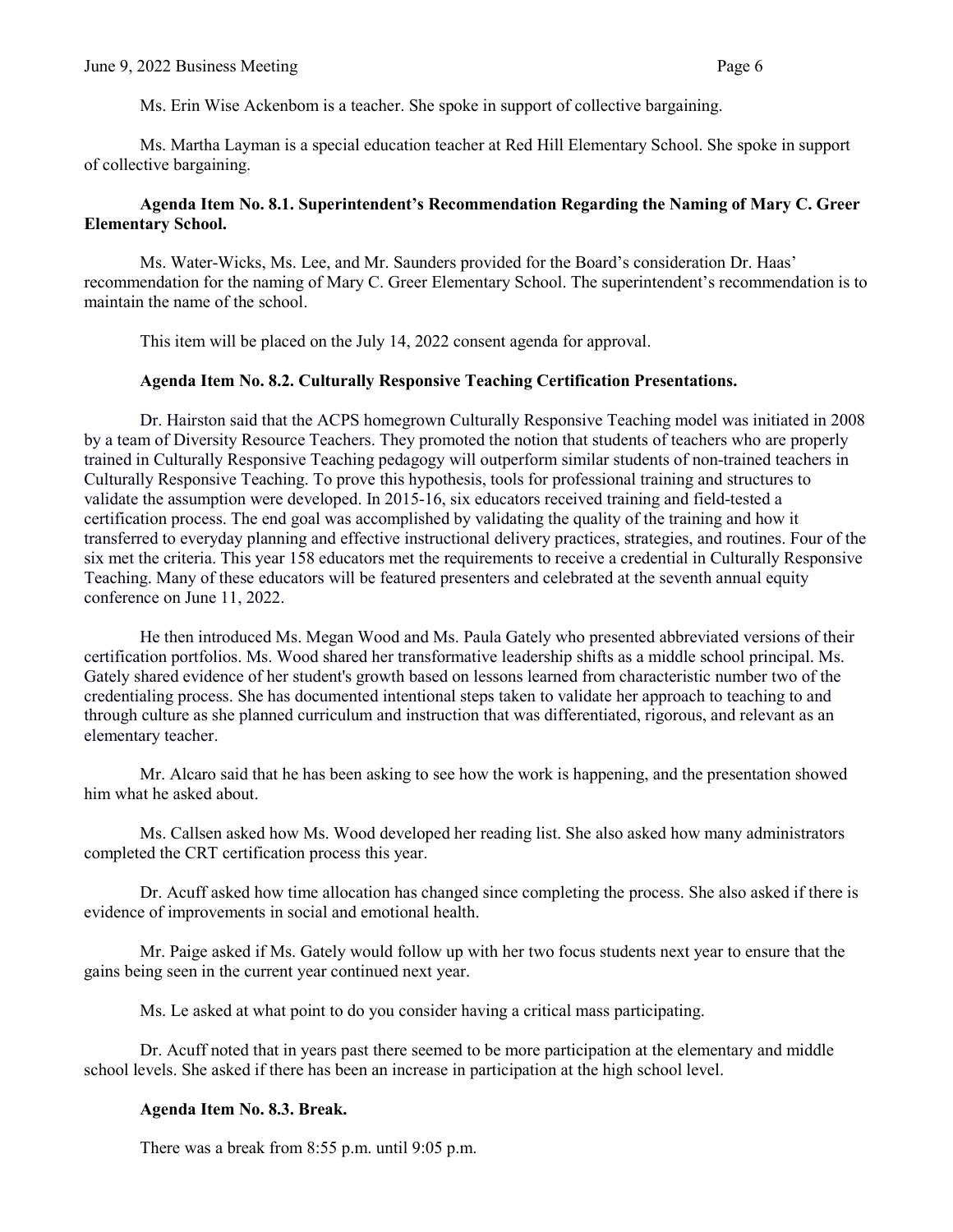Ms. Erin Wise Ackenbom is a teacher. She spoke in support of collective bargaining.

Ms. Martha Layman is a special education teacher at Red Hill Elementary School. She spoke in support of collective bargaining.

## **Agenda Item No. 8.1. Superintendent's Recommendation Regarding the Naming of Mary C. Greer Elementary School.**

Ms. Water-Wicks, Ms. Lee, and Mr. Saunders provided for the Board's consideration Dr. Haas' recommendation for the naming of Mary C. Greer Elementary School. The superintendent's recommendation is to maintain the name of the school.

This item will be placed on the July 14, 2022 consent agenda for approval.

#### **Agenda Item No. 8.2. Culturally Responsive Teaching Certification Presentations.**

Dr. Hairston said that the ACPS homegrown Culturally Responsive Teaching model was initiated in 2008 by a team of Diversity Resource Teachers. They promoted the notion that students of teachers who are properly trained in Culturally Responsive Teaching pedagogy will outperform similar students of non-trained teachers in Culturally Responsive Teaching. To prove this hypothesis, tools for professional training and structures to validate the assumption were developed. In 2015-16, six educators received training and field-tested a certification process. The end goal was accomplished by validating the quality of the training and how it transferred to everyday planning and effective instructional delivery practices, strategies, and routines. Four of the six met the criteria. This year 158 educators met the requirements to receive a credential in Culturally Responsive Teaching. Many of these educators will be featured presenters and celebrated at the seventh annual equity conference on June 11, 2022.

He then introduced Ms. Megan Wood and Ms. Paula Gately who presented abbreviated versions of their certification portfolios. Ms. Wood shared her transformative leadership shifts as a middle school principal. Ms. Gately shared evidence of her student's growth based on lessons learned from characteristic number two of the credentialing process. She has documented intentional steps taken to validate her approach to teaching to and through culture as she planned curriculum and instruction that was differentiated, rigorous, and relevant as an elementary teacher.

Mr. Alcaro said that he has been asking to see how the work is happening, and the presentation showed him what he asked about.

Ms. Callsen asked how Ms. Wood developed her reading list. She also asked how many administrators completed the CRT certification process this year.

Dr. Acuff asked how time allocation has changed since completing the process. She also asked if there is evidence of improvements in social and emotional health.

Mr. Paige asked if Ms. Gately would follow up with her two focus students next year to ensure that the gains being seen in the current year continued next year.

Ms. Le asked at what point to do you consider having a critical mass participating.

Dr. Acuff noted that in years past there seemed to be more participation at the elementary and middle school levels. She asked if there has been an increase in participation at the high school level.

## **Agenda Item No. 8.3. Break.**

There was a break from 8:55 p.m. until 9:05 p.m.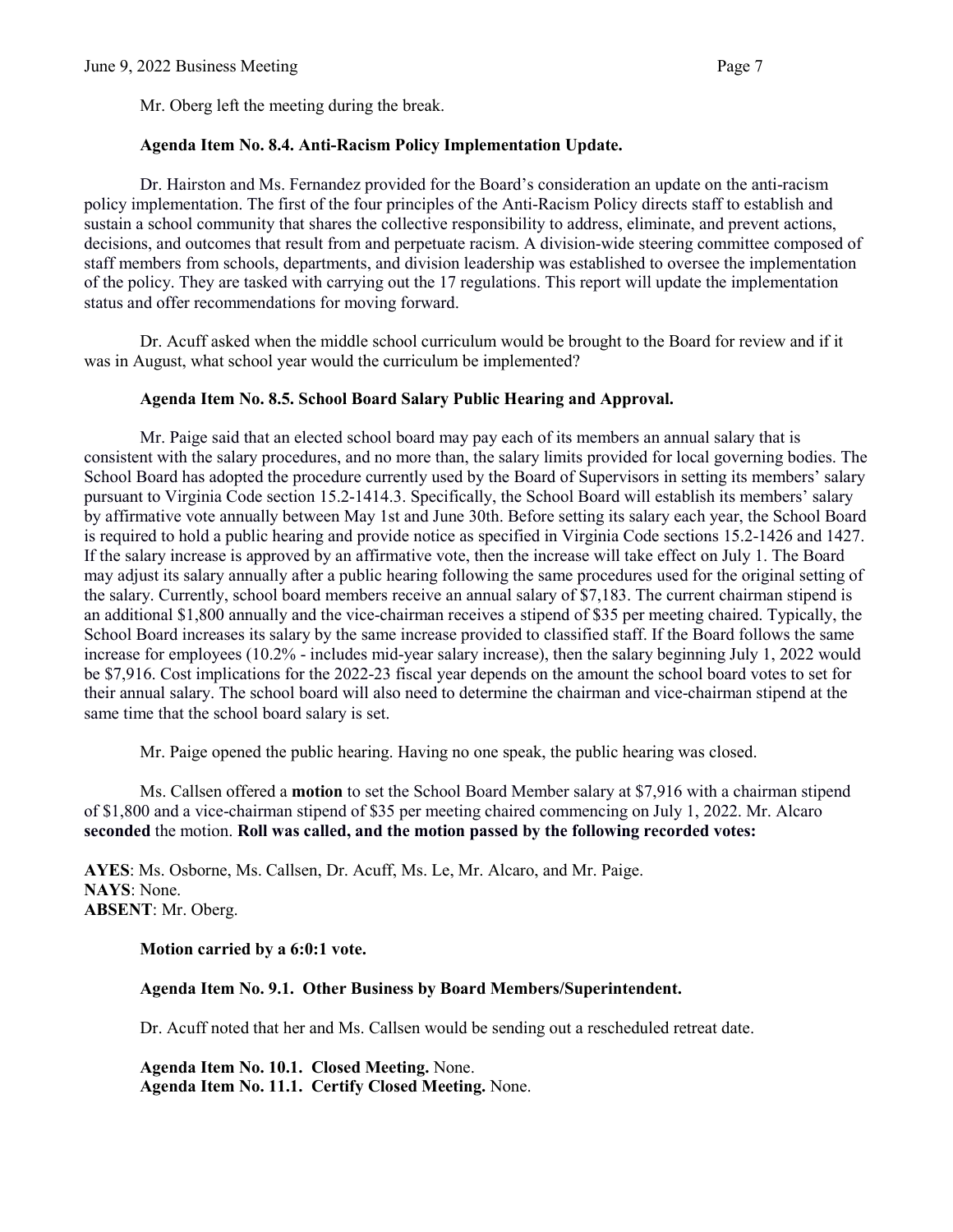Mr. Oberg left the meeting during the break.

#### **Agenda Item No. 8.4. Anti-Racism Policy Implementation Update.**

Dr. Hairston and Ms. Fernandez provided for the Board's consideration an update on the anti-racism policy implementation. The first of the four principles of the Anti-Racism Policy directs staff to establish and sustain a school community that shares the collective responsibility to address, eliminate, and prevent actions, decisions, and outcomes that result from and perpetuate racism. A division-wide steering committee composed of staff members from schools, departments, and division leadership was established to oversee the implementation of the policy. They are tasked with carrying out the 17 regulations. This report will update the implementation status and offer recommendations for moving forward.

Dr. Acuff asked when the middle school curriculum would be brought to the Board for review and if it was in August, what school year would the curriculum be implemented?

#### **Agenda Item No. 8.5. School Board Salary Public Hearing and Approval.**

Mr. Paige said that an elected school board may pay each of its members an annual salary that is consistent with the salary procedures, and no more than, the salary limits provided for local governing bodies. The School Board has adopted the procedure currently used by the Board of Supervisors in setting its members' salary pursuant to Virginia Code section 15.2-1414.3. Specifically, the School Board will establish its members' salary by affirmative vote annually between May 1st and June 30th. Before setting its salary each year, the School Board is required to hold a public hearing and provide notice as specified in Virginia Code sections 15.2-1426 and 1427. If the salary increase is approved by an affirmative vote, then the increase will take effect on July 1. The Board may adjust its salary annually after a public hearing following the same procedures used for the original setting of the salary. Currently, school board members receive an annual salary of \$7,183. The current chairman stipend is an additional \$1,800 annually and the vice-chairman receives a stipend of \$35 per meeting chaired. Typically, the School Board increases its salary by the same increase provided to classified staff. If the Board follows the same increase for employees (10.2% - includes mid-year salary increase), then the salary beginning July 1, 2022 would be \$7,916. Cost implications for the 2022-23 fiscal year depends on the amount the school board votes to set for their annual salary. The school board will also need to determine the chairman and vice-chairman stipend at the same time that the school board salary is set.

Mr. Paige opened the public hearing. Having no one speak, the public hearing was closed.

Ms. Callsen offered a **motion** to set the School Board Member salary at \$7,916 with a chairman stipend of \$1,800 and a vice-chairman stipend of \$35 per meeting chaired commencing on July 1, 2022. Mr. Alcaro **seconded** the motion. **Roll was called, and the motion passed by the following recorded votes:**

**AYES**: Ms. Osborne, Ms. Callsen, Dr. Acuff, Ms. Le, Mr. Alcaro, and Mr. Paige. **NAYS**: None. **ABSENT**: Mr. Oberg.

**Motion carried by a 6:0:1 vote.** 

**Agenda Item No. 9.1. Other Business by Board Members/Superintendent.** 

Dr. Acuff noted that her and Ms. Callsen would be sending out a rescheduled retreat date.

 **Agenda Item No. 10.1. Closed Meeting.** None. **Agenda Item No. 11.1. Certify Closed Meeting.** None.